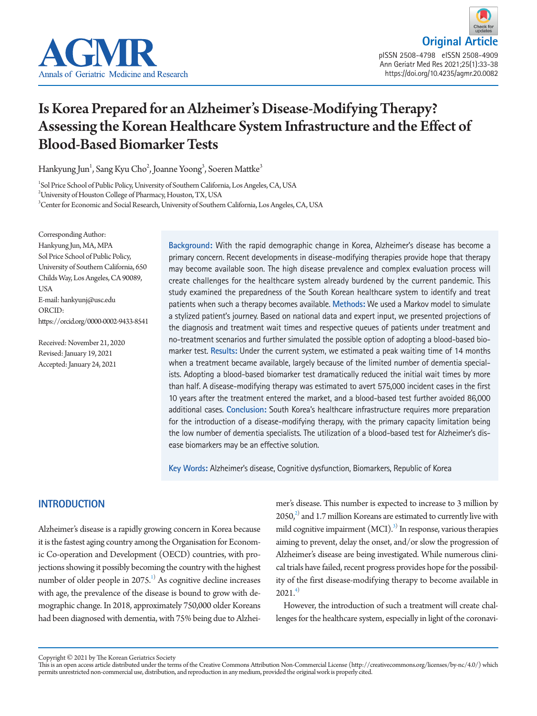



# Is Korea Prepared for an Alzheimer's Disease-Modifying Therapy? Assessing the Korean Healthcare System Infrastructure and the Effect of Blood-Based Biomarker Tests

Hankyung Jun $^{\rm l}$ , Sang Kyu Cho $^{\rm 2}$ , Joanne Yoong $^{\rm 3}$ , Soeren Mattke $^{\rm 3}$ 

1 Sol Price School of Public Policy, University of Southern California, Los Angeles, CA, USA

 $^2$ University of Houston College of Pharmacy, Houston, TX, USA

3 Center for Economic and Social Research, University of Southern California, Los Angeles, CA, USA

Corresponding Author: Hankyung Jun, MA, MPA Sol Price School of Public Policy, University of Southern California, 650 Childs Way, Los Angeles, CA 90089, USA E-mail: hankyunj@usc.edu ORCID: https://orcid.org/0000-0002-9433-8541

Received: November 21, 2020 Revised: January 19, 2021 Accepted: January 24, 2021

**Background:** With the rapid demographic change in Korea, Alzheimer's disease has become a primary concern. Recent developments in disease-modifying therapies provide hope that therapy may become available soon. The high disease prevalence and complex evaluation process will create challenges for the healthcare system already burdened by the current pandemic. This study examined the preparedness of the South Korean healthcare system to identify and treat patients when such a therapy becomes available. **Methods:** We used a Markov model to simulate a stylized patient's journey. Based on national data and expert input, we presented projections of the diagnosis and treatment wait times and respective queues of patients under treatment and no-treatment scenarios and further simulated the possible option of adopting a blood-based biomarker test. **Results:** Under the current system, we estimated a peak waiting time of 14 months when a treatment became available, largely because of the limited number of dementia specialists. Adopting a blood-based biomarker test dramatically reduced the initial wait times by more than half. A disease-modifying therapy was estimated to avert 575,000 incident cases in the first 10 years after the treatment entered the market, and a blood-based test further avoided 86,000 additional cases. **Conclusion:** South Korea's healthcare infrastructure requires more preparation for the introduction of a disease-modifying therapy, with the primary capacity limitation being the low number of dementia specialists. The utilization of a blood-based test for Alzheimer's disease biomarkers may be an effective solution.

**Key Words:** Alzheimer's disease, Cognitive dysfunction, Biomarkers, Republic of Korea

# **INTRODUCTION**

Alzheimer's disease is a rapidly growing concern in Korea because it is the fastest aging country among the Organisation for Economic Co-operation and Development (OECD) countries, with projections showing it possibly becoming the country with the highest number of older people in 2075.<sup>1)</sup> As cognitive decline increases with age, the prevalence of the disease is bound to grow with demographic change. In 2018, approximately 750,000 older Koreans had been diagnosed with dementia, with 75% being due to Alzhei-

mer's disease. This number is expected to increase to 3 million by  $2050<sub>i</sub><sup>2</sup>$  and 1.7 million Koreans are estimated to currently live with mild cognitive impairment  $(MCI)^3$ <sup>1</sup> In response, various therapies aiming to prevent, delay the onset, and/or slow the progression of Alzheimer's disease are being investigated. While numerous clinical trials have failed, recent progress provides hope for the possibility of the first disease-modifying therapy to become available in  $202.1<sup>4</sup>$ 

However, the introduction of such a treatment will create challenges for the healthcare system, especially in light of the coronavi-

Copyright © 2021 by The Korean Geriatrics Society

This is an open access article distributed under the terms of the Creative Commons Attribution Non-Commercial License (http://creativecommons.org/licenses/by-nc/4.0/) which permits unrestricted non-commercial use, distribution, and reproduction in any medium, provided the original work is properly cited.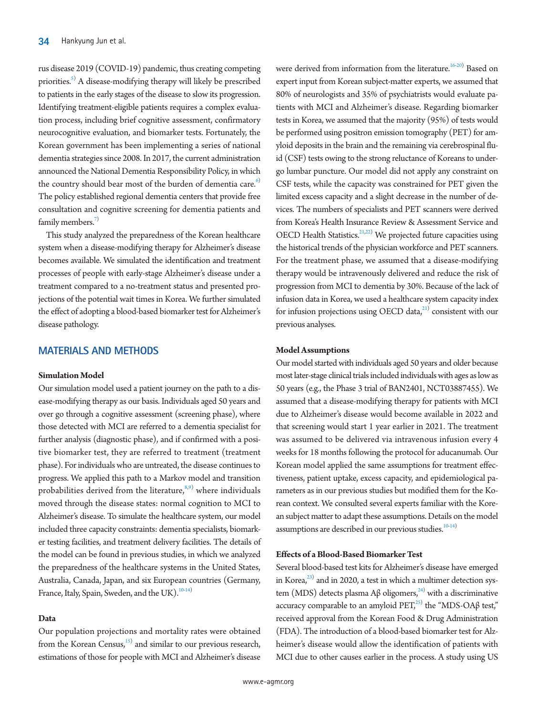rus disease 2019 (COVID-19) pandemic, thus creating competing priorities.<sup>[5\)](#page-4-4)</sup> A disease-modifying therapy will likely be prescribed to patients in the early stages of the disease to slow its progression. Identifying treatment-eligible patients requires a complex evaluation process, including brief cognitive assessment, confirmatory neurocognitive evaluation, and biomarker tests. Fortunately, the Korean government has been implementing a series of national dementia strategies since 2008. In 2017, the current administration announced the National Dementia Responsibility Policy, in which the country should bear most of the burden of dementia care.<sup>[6\)](#page-4-5)</sup> The policy established regional dementia centers that provide free consultation and cognitive screening for dementia patients and family members. $7$ 

This study analyzed the preparedness of the Korean healthcare system when a disease-modifying therapy for Alzheimer's disease becomes available. We simulated the identification and treatment processes of people with early-stage Alzheimer's disease under a treatment compared to a no-treatment status and presented projections of the potential wait times in Korea. We further simulated the effect of adopting a blood-based biomarker test for Alzheimer's disease pathology.

## **MATERIALS AND METHODS**

#### **Simulation Model**

Our simulation model used a patient journey on the path to a disease-modifying therapy as our basis. Individuals aged 50 years and over go through a cognitive assessment (screening phase), where those detected with MCI are referred to a dementia specialist for further analysis (diagnostic phase), and if confirmed with a positive biomarker test, they are referred to treatment (treatment phase). For individuals who are untreated, the disease continues to progress. We applied this path to a Markov model and transition probabilities derived from the literature, $s^{(8,9)}$  $s^{(8,9)}$  $s^{(8,9)}$  $s^{(8,9)}$  where individuals moved through the disease states: normal cognition to MCI to Alzheimer's disease. To simulate the healthcare system, our model included three capacity constraints: dementia specialists, biomarker testing facilities, and treatment delivery facilities. The details of the model can be found in previous studies, in which we analyzed the preparedness of the healthcare systems in the United States, Australia, Canada, Japan, and six European countries (Germany, France, Italy, Spain, Sweden, and the UK).<sup>10[-14\)](#page-5-0)</sup>

#### **Data**

Our population projections and mortality rates were obtained from the Korean Census, $15$  and similar to our previous research, estimations of those for people with MCI and Alzheimer's disease

were derived from information from the literature.<sup>16[-20](#page-5-3)</sup> Based on expert input from Korean subject-matter experts, we assumed that 80% of neurologists and 35% of psychiatrists would evaluate patients with MCI and Alzheimer's disease. Regarding biomarker tests in Korea, we assumed that the majority (95%) of tests would be performed using positron emission tomography (PET) for amyloid deposits in the brain and the remaining via cerebrospinal fluid (CSF) tests owing to the strong reluctance of Koreans to undergo lumbar puncture. Our model did not apply any constraint on CSF tests, while the capacity was constrained for PET given the limited excess capacity and a slight decrease in the number of devices. The numbers of specialists and PET scanners were derived from Korea's Health Insurance Review & Assessment Service and OECD Health Statistics.<sup>[21](#page-5-4)[,22](#page-5-5))</sup> We projected future capacities using the historical trends of the physician workforce and PET scanners. For the treatment phase, we assumed that a disease-modifying therapy would be intravenously delivered and reduce the risk of progression from MCI to dementia by 30%. Because of the lack of infusion data in Korea, we used a healthcare system capacity index for infusion projections using OECD data, $21$ ) consistent with our previous analyses.

#### **Model Assumptions**

Our model started with individuals aged 50 years and older because most later-stage clinical trials included individuals with ages as low as 50 years (e.g., the Phase 3 trial of BAN2401, NCT03887455). We assumed that a disease-modifying therapy for patients with MCI due to Alzheimer's disease would become available in 2022 and that screening would start 1 year earlier in 2021. The treatment was assumed to be delivered via intravenous infusion every 4 weeks for 18 months following the protocol for aducanumab. Our Korean model applied the same assumptions for treatment effectiveness, patient uptake, excess capacity, and epidemiological parameters as in our previous studies but modified them for the Korean context. We consulted several experts familiar with the Korean subject matter to adapt these assumptions. Details on the model assumptions are described in our previous studies.<sup>10-14)</sup>

## **Effects of a Blood-Based Biomarker Test**

Several blood-based test kits for Alzheimer's disease have emerged in Korea, $^{23)}$  and in 2020, a test in which a multimer detection sys-tem (MDS) detects plasma Aβ oligomers,<sup>[24](#page-5-6)</sup> with a discriminative accuracy comparable to an amyloid  $\text{PET}^{25)}_2$  the "MDS-OA $\beta$  test," received approval from the Korean Food & Drug Administration (FDA). The introduction of a blood-based biomarker test for Alzheimer's disease would allow the identification of patients with MCI due to other causes earlier in the process. A study using US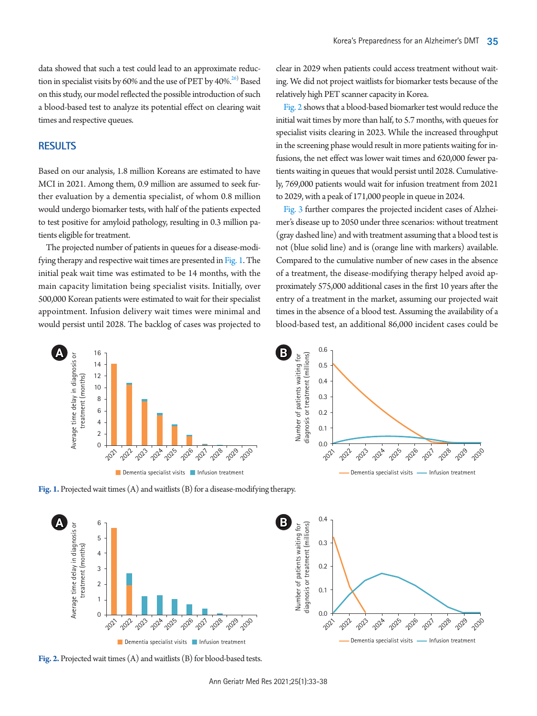data showed that such a test could lead to an approximate reduction in specialist visits by 60% and the use of PET by 40%. $^{26)}$  $^{26)}$  $^{26)}$  Based on this study, our model reflected the possible introduction of such a blood-based test to analyze its potential effect on clearing wait times and respective queues.

# **RESULTS**

Based on our analysis, 1.8 million Koreans are estimated to have MCI in 2021. Among them, 0.9 million are assumed to seek further evaluation by a dementia specialist, of whom 0.8 million would undergo biomarker tests, with half of the patients expected to test positive for amyloid pathology, resulting in 0.3 million patients eligible for treatment.

The projected number of patients in queues for a disease-modifying therapy and respective wait times are presented in [Fig.](#page-2-0) [1.](#page-2-0) The initial peak wait time was estimated to be 14 months, with the main capacity limitation being specialist visits. Initially, over 500,000 Korean patients were estimated to wait for their specialist appointment. Infusion delivery wait times were minimal and would persist until 2028. The backlog of cases was projected to

clear in 2029 when patients could access treatment without waiting. We did not project waitlists for biomarker tests because of the relatively high PET scanner capacity in Korea.

[Fig. 2](#page-2-1) shows that a blood-based biomarker test would reduce the initial wait times by more than half, to 5.7 months, with queues for specialist visits clearing in 2023. While the increased throughput in the screening phase would result in more patients waiting for infusions, the net effect was lower wait times and 620,000 fewer patients waiting in queues that would persist until 2028. Cumulatively, 769,000 patients would wait for infusion treatment from 2021 to 2029, with a peak of 171,000 people in queue in 2024.

[Fig. 3](#page-3-0) further compares the projected incident cases of Alzheimer's disease up to 2050 under three scenarios: without treatment (gray dashed line) and with treatment assuming that a blood test is not (blue solid line) and is (orange line with markers) available. Compared to the cumulative number of new cases in the absence of a treatment, the disease-modifying therapy helped avoid approximately 575,000 additional cases in the first 10 years after the entry of a treatment in the market, assuming our projected wait times in the absence of a blood test. Assuming the availability of a blood-based test, an additional 86,000 incident cases could be

<span id="page-2-0"></span>

**Fig. 1.** Projected wait times (A) and waitlists (B) for a disease-modifying therapy.

<span id="page-2-1"></span>

**Fig. 2.** Projected wait times (A) and waitlists (B) for blood-based tests.

Ann Geriatr Med Res 2021;25(1):33-38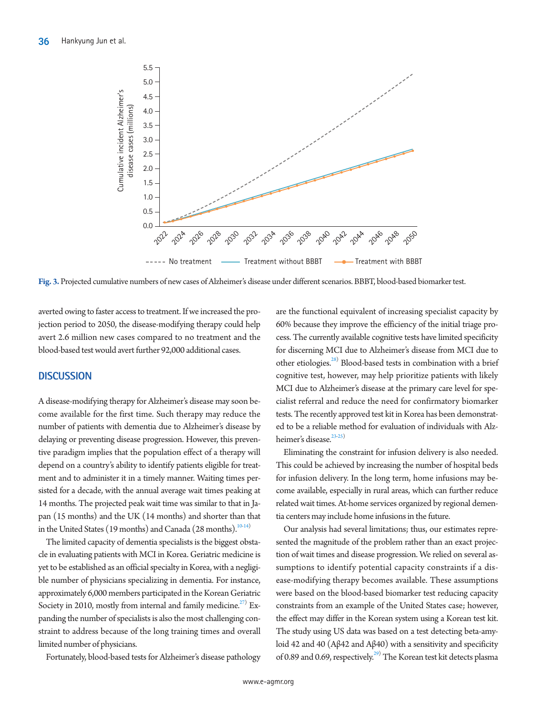<span id="page-3-0"></span>

**Fig. 3.** Projected cumulative numbers of new cases of Alzheimer's disease under different scenarios. BBBT, blood-based biomarker test.

averted owing to faster access to treatment. If we increased the projection period to 2050, the disease-modifying therapy could help avert 2.6 million new cases compared to no treatment and the blood-based test would avert further 92,000 additional cases.

## **DISCUSSION**

A disease-modifying therapy for Alzheimer's disease may soon become available for the first time. Such therapy may reduce the number of patients with dementia due to Alzheimer's disease by delaying or preventing disease progression. However, this preventive paradigm implies that the population effect of a therapy will depend on a country's ability to identify patients eligible for treatment and to administer it in a timely manner. Waiting times persisted for a decade, with the annual average wait times peaking at 14 months. The projected peak wait time was similar to that in Japan (15 months) and the UK (14 months) and shorter than that in the United States (19 months) and Canada (28 months).<sup>10-14)</sup>

The limited capacity of dementia specialists is the biggest obstacle in evaluating patients with MCI in Korea. Geriatric medicine is yet to be established as an official specialty in Korea, with a negligible number of physicians specializing in dementia. For instance, approximately 6,000 members participated in the Korean Geriatric Society in 2010, mostly from internal and family medicine.<sup>27)</sup> Expanding the number of specialists is also the most challenging constraint to address because of the long training times and overall limited number of physicians.

Fortunately, blood-based tests for Alzheimer's disease pathology

are the functional equivalent of increasing specialist capacity by 60% because they improve the efficiency of the initial triage process. The currently available cognitive tests have limited specificity for discerning MCI due to Alzheimer's disease from MCI due to other etiologies.<sup>28)</sup> Blood-based tests in combination with a brief cognitive test, however, may help prioritize patients with likely MCI due to Alzheimer's disease at the primary care level for specialist referral and reduce the need for confirmatory biomarker tests. The recently approved test kit in Korea has been demonstrated to be a reliable method for evaluation of individuals with Alzheimer's disease.<sup>23-25)</sup>

Eliminating the constraint for infusion delivery is also needed. This could be achieved by increasing the number of hospital beds for infusion delivery. In the long term, home infusions may become available, especially in rural areas, which can further reduce related wait times. At-home services organized by regional dementia centers may include home infusions in the future.

Our analysis had several limitations; thus, our estimates represented the magnitude of the problem rather than an exact projection of wait times and disease progression. We relied on several assumptions to identify potential capacity constraints if a disease-modifying therapy becomes available. These assumptions were based on the blood-based biomarker test reducing capacity constraints from an example of the United States case; however, the effect may differ in the Korean system using a Korean test kit. The study using US data was based on a test detecting beta-amyloid 42 and 40 (Aβ42 and Aβ40) with a sensitivity and specificity of 0.89 and 0.69, respectively.<sup>[29](#page-5-10))</sup> The Korean test kit detects plasma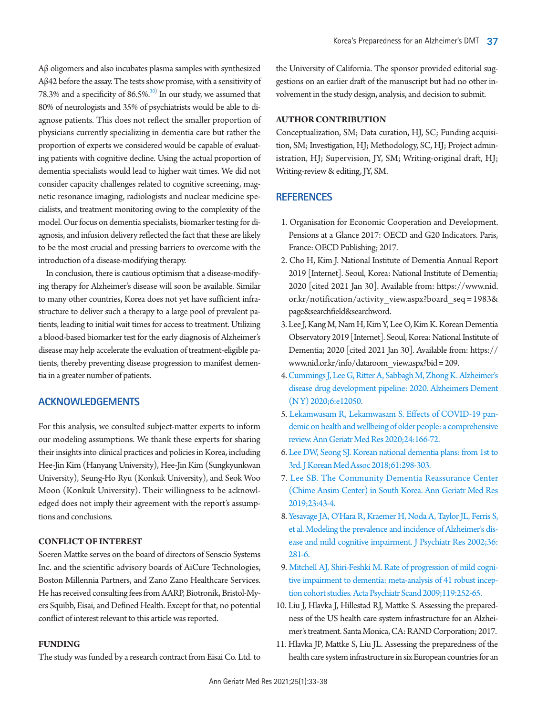Aβ oligomers and also incubates plasma samples with synthesized Aβ42 before the assay. The tests show promise, with a sensitivity of 78.3% and a specificity of  $86.5\%$ .<sup>30)</sup> In our study, we assumed that 80% of neurologists and 35% of psychiatrists would be able to diagnose patients. This does not reflect the smaller proportion of physicians currently specializing in dementia care but rather the proportion of experts we considered would be capable of evaluating patients with cognitive decline. Using the actual proportion of dementia specialists would lead to higher wait times. We did not consider capacity challenges related to cognitive screening, magnetic resonance imaging, radiologists and nuclear medicine specialists, and treatment monitoring owing to the complexity of the model. Our focus on dementia specialists, biomarker testing for diagnosis, and infusion delivery reflected the fact that these are likely to be the most crucial and pressing barriers to overcome with the introduction of a disease-modifying therapy.

In conclusion, there is cautious optimism that a disease-modifying therapy for Alzheimer's disease will soon be available. Similar to many other countries, Korea does not yet have sufficient infrastructure to deliver such a therapy to a large pool of prevalent patients, leading to initial wait times for access to treatment. Utilizing a blood-based biomarker test for the early diagnosis of Alzheimer's disease may help accelerate the evaluation of treatment-eligible patients, thereby preventing disease progression to manifest dementia in a greater number of patients.

## **ACKNOWLEDGEMENTS**

For this analysis, we consulted subject-matter experts to inform our modeling assumptions. We thank these experts for sharing their insights into clinical practices and policies in Korea, including Hee-Jin Kim (Hanyang University), Hee-Jin Kim (Sungkyunkwan University), Seung-Ho Ryu (Konkuk University), and Seok Woo Moon (Konkuk University). Their willingness to be acknowledged does not imply their agreement with the report's assumptions and conclusions.

#### **CONFLICT OF INTEREST**

Soeren Mattke serves on the board of directors of Senscio Systems Inc. and the scientific advisory boards of AiCure Technologies, Boston Millennia Partners, and Zano Zano Healthcare Services. He has received consulting fees from AARP, Biotronik, Bristol-Myers Squibb, Eisai, and Defined Health. Except for that, no potential conflict of interest relevant to this article was reported.

## **FUNDING**

The study was funded by a research contract from Eisai Co. Ltd. to

the University of California. The sponsor provided editorial suggestions on an earlier draft of the manuscript but had no other involvement in the study design, analysis, and decision to submit.

#### **AUTHOR CONTRIBUTION**

Conceptualization, SM; Data curation, HJ, SC; Funding acquisition, SM; Investigation, HJ; Methodology, SC, HJ; Project administration, HJ; Supervision, JY, SM; Writing-original draft, HJ; Writing-review & editing, JY, SM.

## **REFERENCES**

- <span id="page-4-0"></span>1. Organisation for Economic Cooperation and Development. Pensions at a Glance 2017: OECD and G20 Indicators. Paris, France: OECD Publishing; 2017.
- <span id="page-4-1"></span>2. Cho H, Kim J. National Institute of Dementia Annual Report 2019 [Internet]. Seoul, Korea: National Institute of Dementia; 2020 [cited 2021 Jan 30]. Available from: [https://www.nid.](https://www.nid.or.kr/notification/activity_view.aspx?board_seq=1983&page&searchfield&searchword) [or.kr/notification/activity\\_view.aspx?board\\_seq = 1983&](https://www.nid.or.kr/notification/activity_view.aspx?board_seq=1983&page&searchfield&searchword) [page&searchfield&searchword.](https://www.nid.or.kr/notification/activity_view.aspx?board_seq=1983&page&searchfield&searchword)
- <span id="page-4-2"></span>3. Lee J, Kang M, Nam H, Kim Y, Lee O, Kim K. Korean Dementia Observatory 2019 [Internet]. Seoul, Korea: National Institute of Dementia; 2020 [cited 2021 Jan 30]. Available from: [https://](https://www.nid.or.kr/info/dataroom_view.aspx?bid=209) [www.nid.or.kr/info/dataroom\\_view.aspx?bid = 209.](https://www.nid.or.kr/info/dataroom_view.aspx?bid=209)
- <span id="page-4-3"></span>[4. Cummings J, Lee G, Ritter A, Sabbagh M, Zhong K. Alzheimer's](https://doi.org/10.1002/trc2.12050)  [disease drug development pipeline: 2020. Alzheimers Dement](https://doi.org/10.1002/trc2.12050)  [\(N Y\) 2020;6:e12050](https://doi.org/10.1002/trc2.12050).
- <span id="page-4-4"></span>5[. Lekamwasam R, Lekamwasam S. Effects of COVID-19 pan](https://doi.org/10.4235/agmr.20.0027)[demic on health and wellbeing of older people: a comprehensive](https://doi.org/10.4235/agmr.20.0027)  [review. Ann Geriatr Med Res 2020;24:166-72](https://doi.org/10.4235/agmr.20.0027).
- <span id="page-4-5"></span>[6. Lee DW, Seong SJ. Korean national dementia plans: from 1st to](https://doi.org/10.5124/jkma.2018.61.5.298)  [3rd. J Korean Med Assoc 2018;61:298-303](https://doi.org/10.5124/jkma.2018.61.5.298).
- <span id="page-4-6"></span>7[. Lee SB. The Community Dementia Reassurance Center](https://doi.org/10.4235/agmr.19.0024)  [\(Chime Ansim Center\) in South Korea. Ann Geriatr Med Res](https://doi.org/10.4235/agmr.19.0024)  [2019;23:43-4](https://doi.org/10.4235/agmr.19.0024).
- <span id="page-4-7"></span>[8. Yesavage JA, O'Hara R, Kraemer H, Noda A, Taylor JL, Ferris S,](https://doi.org/10.1016/s0022-3956(02)00020-1)  [et al. Modeling the prevalence and incidence of Alzheimer's dis](https://doi.org/10.1016/s0022-3956(02)00020-1)[ease and mild cognitive impairment. J Psychiatr Res 2002;36:](https://doi.org/10.1016/s0022-3956(02)00020-1) [281-6.](https://doi.org/10.1016/s0022-3956(02)00020-1)
- <span id="page-4-8"></span>9. [Mitchell AJ, Shiri-Feshki M. Rate of progression of mild cogni](https://www.ncbi.nlm.nih.gov/pubmed/19236314)[tive impairment to dementia: meta-analysis of 41 robust incep](https://www.ncbi.nlm.nih.gov/pubmed/19236314)[tion cohort studies. Acta Psychiatr Scand 2009;119:252-65.](https://www.ncbi.nlm.nih.gov/pubmed/19236314)
- <span id="page-4-9"></span>10. Liu J, Hlavka J, Hillestad RJ, Mattke S. Assessing the preparedness of the US health care system infrastructure for an Alzheimer's treatment. Santa Monica, CA: RAND Corporation; 2017.
- 11. Hlavka JP, Mattke S, Liu JL. Assessing the preparedness of the health care system infrastructure in six European countries for an